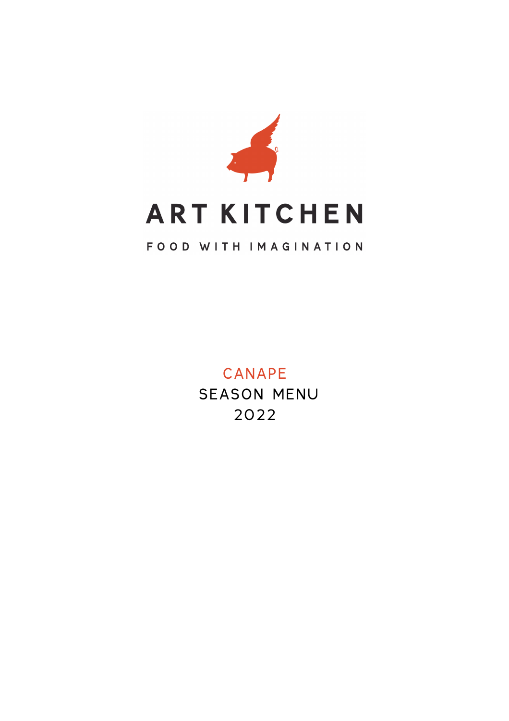

### CANAPE SEASON MENU 2022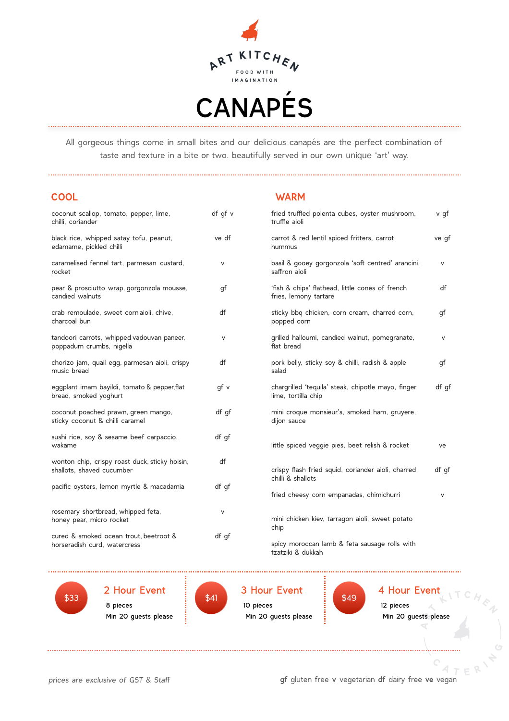

All gorgeous things come in small bites and our delicious canapés are the perfect combination of taste and texture in a bite or two. beautifully served in our own unique 'art' way.

#### **COOL WARM**

| coconut scallop, tomato, pepper, lime,<br>chilli, coriander                 | df qf v |
|-----------------------------------------------------------------------------|---------|
| black rice, whipped satay tofu, peanut,<br>edamame, pickled chilli          | ve df   |
| caramelised fennel tart, parmesan custard,<br>rocket                        | v       |
| pear & prosciutto wrap, gorgonzola mousse,<br>candied walnuts               | gf      |
| crab remoulade, sweet cornaioli, chive,<br>charcoal bun                     | df      |
| tandoori carrots, whipped vadouvan paneer,<br>poppadum crumbs, nigella      | V       |
| chorizo jam, quail egg, parmesan aioli, crispy<br>music bread               | df      |
| eqqplant imam bayildi, tomato & pepper, flat<br>bread, smoked yoghurt       | qf v    |
| coconut poached prawn, green mango,<br>sticky coconut & chilli caramel      | df qf   |
| sushi rice, soy & sesame beef carpaccio,<br>wakame                          | df qf   |
| wonton chip, crispy roast duck, sticky hoisin,<br>shallots, shaved cucumber | df      |
| pacific oysters, lemon myrtle & macadamia                                   | df qf   |
| rosemary shortbread, whipped feta,<br>honey pear, micro rocket              | v       |
| cured & smoked ocean trout, beetroot &                                      | df gf   |



horseradish curd, watercress

 2 Hour Event 8 pieces Min 20 guests please  $$33$  \$41  $$49$ 



 3 Hour Event 10 pieces Min 20 guests please

chip



 4 Hour Event 12 pieces Min 20 guests please

v gf

ve gf

v

df

gf

v

gf

df gf

df gf

fried truffled polenta cubes, oyster mushroom, truffle aioli

hummus

saffron aioli

popped corn

flat bread

lime, tortilla chip

dijon sauce

chilli & shallots

tzatziki & dukkah

salad

fries, lemony tartare

carrot & red lentil spiced fritters, carrot

basil & gooey gorgonzola 'soft centred' arancini,

'fish & chips' flathead, little cones of french

sticky bbq chicken, corn cream, charred corn,

grilled halloumi, candied walnut, pomegranate,

pork belly, sticky soy & chilli, radish & apple

chargrilled 'tequila' steak, chipotle mayo, finger

mini croque monsieur's, smoked ham, gruyere,

crispy flash fried squid, coriander aioli, charred

mini chicken kiev, tarragon aioli, sweet potato

spicy moroccan lamb & feta sausage rolls with

little spiced veggie pies, beet relish & rocket ve

fried cheesy corn empanadas, chimichurri v

*prices are exclusive of GST & Staff* **gf** gluten free v vegetarian **df** dairy free **ve** vegan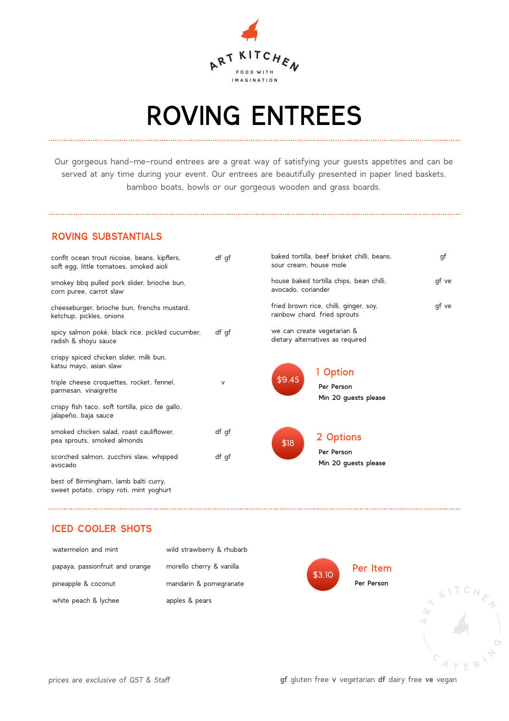

## ROVING ENTREES

Our gorgeous hand-me-round entrees are a great way of satisfying your guests appetites and can be served at any time during your event. Our entrees are beautifully presented in paper lined baskets, bamboo boats, bowls or our gorgeous wooden and grass boards.

#### **ROVING SUBSTANTIALS**

| confit ocean trout nicoise, beans, kipflers,<br>soft egg, little tomatoes, smoked aioli | df qf  | sour cream. house mole       | baked tortilla, beef brisket chilli, beans, | gf    |
|-----------------------------------------------------------------------------------------|--------|------------------------------|---------------------------------------------|-------|
| smokey bbq pulled pork slider, brioche bun,<br>corn puree, carrot slaw                  |        | avocado, coriander           | house baked tortilla chips, bean chilli,    | gf ve |
| cheeseburger, brioche bun, frenchs mustard,<br>ketchup, pickles, onions                 |        | rainbow chard, fried sprouts | fried brown rice, chilli, ginger, soy,      | gf ve |
| spicy salmon poké, black rice, pickled cucumber,<br>radish & shoyu sauce                | df qf  | we can create vegetarian &   | dietary alternatives as required            |       |
| crispy spiced chicken slider, milk bun,<br>katsu mayo, asian slaw                       |        |                              | 1 Option                                    |       |
| triple cheese croquettes, rocket, fennel,<br>parmesan, vinaigrette                      | $\vee$ | \$9.45                       | Per Person<br>Min 20 guests please          |       |
| crispy fish taco, soft tortilla, pico de gallo,<br>jalapeño, baja sauce                 |        |                              |                                             |       |
| smoked chicken salad, roast cauliflower,<br>pea sprouts, smoked almonds                 | df gf  | \$18                         | 2 Options                                   |       |
| scorched salmon, zucchini slaw, whipped<br>avocado                                      | df gf  |                              | Per Person<br>Min 20 quests please          |       |
| best of Birmingham, lamb balti curry,<br>sweet potato, crispy roti, mint yoghurt        |        |                              |                                             |       |

#### **ICED COOLER SHOTS**

| watermelon and mint             | wild strawberry & rhubarb |        |            |    |
|---------------------------------|---------------------------|--------|------------|----|
| papaya, passionfruit and orange | morello cherry & vanilla  | \$3.10 | Per Item   |    |
| pineapple & coconut             | mandarin & pomegranate    |        | Per Person |    |
| white peach & lychee            | apples & pears            |        |            |    |
|                                 |                           |        |            | 97 |
|                                 |                           |        |            |    |
|                                 |                           |        |            |    |
|                                 |                           |        |            |    |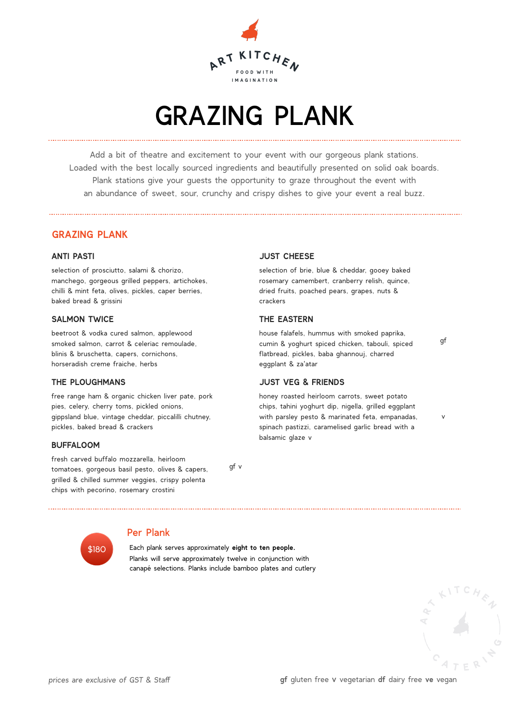

## GRAZING PLANK

Add a bit of theatre and excitement to your event with our gorgeous plank stations. Loaded with the best locally sourced ingredients and beautifully presented on solid oak boards. Plank stations give your guests the opportunity to graze throughout the event with an abundance of sweet, sour, crunchy and crispy dishes to give your event a real buzz.

#### **GRAZING PLANK**

#### **ANTI PASTI**

selection of prosciutto, salami & chorizo, manchego, gorgeous grilled peppers, artichokes, chilli & mint feta, olives, pickles, caper berries, baked bread & grissini

#### **SALMON TWICE**

beetroot & vodka cured salmon, applewood smoked salmon, carrot & celeriac remoulade, blinis & bruschetta, capers, cornichons, horseradish creme fraiche, herbs

#### **THE PLOUGHMANS**

free range ham & organic chicken liver pate, pork pies, celery, cherry toms, pickled onions, gippsland blue, vintage cheddar, piccalilli chutney, pickles, baked bread & crackers

#### **BUFFALOOM**

fresh carved buffalo mozzarella, heirloom tomatoes, gorgeous basil pesto, olives & capers, grilled & chilled summer veggies, crispy polenta chips with pecorino, rosemary crostini

gf v



#### Per Plank

 Each plank serves approximately **eight to ten people.** Planks will serve approximately twelve in conjunction with canapé selections. Planks include bamboo plates and cutlery

#### **JUST CHEESE**

selection of brie, blue & cheddar, gooey baked rosemary camembert, cranberry relish, quince, dried fruits, poached pears, grapes, nuts & crackers

#### **THE EASTERN**

house falafels, hummus with smoked paprika, cumin & yoghurt spiced chicken, tabouli, spiced flatbread, pickles, baba ghannouj, charred eggplant & za'atar

#### **JUST VEG & FRIENDS**

honey roasted heirloom carrots, sweet potato chips, tahini yoghurt dip, nigella, grilled eggplant with parsley pesto & marinated feta, empanadas, spinach pastizzi, caramelised garlic bread with a balsamic glaze v

gf

v